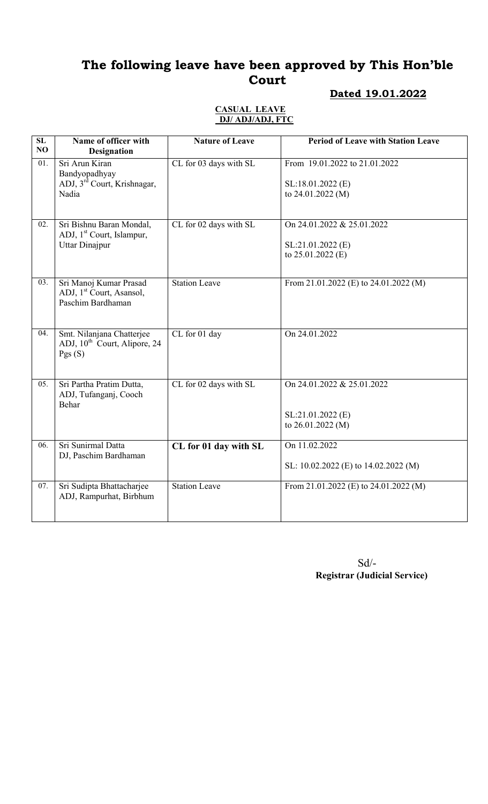### Dated 19.01.2022

#### CASUAL LEAVE DJ/ ADJ/ADJ, FTC

| SL<br>NO | Name of officer with<br><b>Designation</b>                                                 | <b>Nature of Leave</b> | <b>Period of Leave with Station Leave</b>                                |
|----------|--------------------------------------------------------------------------------------------|------------------------|--------------------------------------------------------------------------|
| 01.      | Sri Arun Kiran<br>Bandyopadhyay<br>ADJ, 3 <sup>rd</sup> Court, Krishnagar,<br>Nadia        | CL for 03 days with SL | From 19.01.2022 to 21.01.2022<br>SL:18.01.2022 (E)<br>to $24.01.2022(M)$ |
| 02.      | Sri Bishnu Baran Mondal,<br>ADJ, 1 <sup>st</sup> Court, Islampur,<br><b>Uttar Dinajpur</b> | CL for 02 days with SL | On 24.01.2022 & 25.01.2022<br>$SL:21.01.2022$ (E)<br>to $25.01.2022$ (E) |
| 03.      | Sri Manoj Kumar Prasad<br>ADJ, 1 <sup>st</sup> Court, Asansol,<br>Paschim Bardhaman        | <b>Station Leave</b>   | From 21.01.2022 (E) to 24.01.2022 (M)                                    |
| 04.      | Smt. Nilanjana Chatterjee<br>ADJ, 10 <sup>th</sup> Court, Alipore, 24<br>Pgs(S)            | CL for 01 day          | On 24.01.2022                                                            |
| 05.      | Sri Partha Pratim Dutta,<br>ADJ, Tufanganj, Cooch<br>Behar                                 | CL for 02 days with SL | On 24.01.2022 & 25.01.2022<br>SL:21.01.2022 (E)<br>to 26.01.2022 (M)     |
| 06.      | Sri Sunirmal Datta<br>DJ, Paschim Bardhaman                                                | CL for 01 day with SL  | On 11.02.2022<br>SL: 10.02.2022 (E) to 14.02.2022 (M)                    |
| 07.      | Sri Sudipta Bhattacharjee<br>ADJ, Rampurhat, Birbhum                                       | <b>Station Leave</b>   | From 21.01.2022 (E) to 24.01.2022 (M)                                    |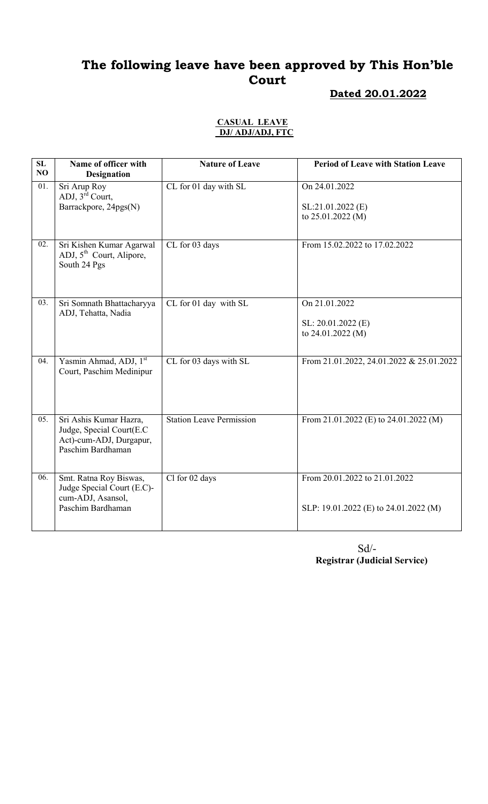### Dated 20.01.2022

#### CASUAL LEAVE DJ/ ADJ/ADJ, FTC

| SL<br>NO | Name of officer with<br><b>Designation</b>                                                          | <b>Nature of Leave</b>          | <b>Period of Leave with Station Leave</b>                              |
|----------|-----------------------------------------------------------------------------------------------------|---------------------------------|------------------------------------------------------------------------|
| 01.      | Sri Arup Roy<br>ADJ, $3^{\overline{r}\overline{d}}$ Court,<br>Barrackpore, 24pgs(N)                 | CL for 01 day with SL           | On 24.01.2022<br>SL:21.01.2022 (E)<br>to 25.01.2022 (M)                |
| 02.      | Sri Kishen Kumar Agarwal<br>ADJ, 5 <sup>th</sup> Court, Alipore,<br>South 24 Pgs                    | CL for 03 days                  | From 15.02.2022 to 17.02.2022                                          |
| 03.      | Sri Somnath Bhattacharyya<br>ADJ, Tehatta, Nadia                                                    | CL for 01 day with SL           | On 21.01.2022<br>SL: 20.01.2022 (E)<br>to 24.01.2022 (M)               |
| 04.      | Yasmin Ahmad, ADJ, 1st<br>Court, Paschim Medinipur                                                  | CL for 03 days with SL          | From 21.01.2022, 24.01.2022 & 25.01.2022                               |
| 05.      | Sri Ashis Kumar Hazra,<br>Judge, Special Court(E.C.<br>Act)-cum-ADJ, Durgapur,<br>Paschim Bardhaman | <b>Station Leave Permission</b> | From 21.01.2022 (E) to 24.01.2022 (M)                                  |
| 06.      | Smt. Ratna Roy Biswas,<br>Judge Special Court (E.C)-<br>cum-ADJ, Asansol,<br>Paschim Bardhaman      | Cl for 02 days                  | From 20.01.2022 to 21.01.2022<br>SLP: 19.01.2022 (E) to 24.01.2022 (M) |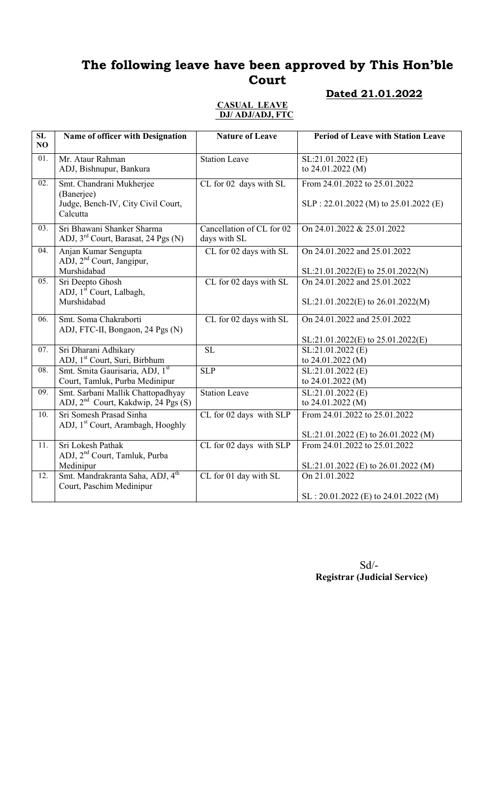#### Dated 21.01.2022

#### CASUAL LEAVE DJ/ ADJ/ADJ, FTC

| SL<br>NO          | Name of officer with Designation                                                         | <b>Nature of Leave</b>                    | <b>Period of Leave with Station Leave</b>                                |
|-------------------|------------------------------------------------------------------------------------------|-------------------------------------------|--------------------------------------------------------------------------|
| 01.               | Mr. Ataur Rahman<br>ADJ, Bishnupur, Bankura                                              | <b>Station Leave</b>                      | SL:21.01.2022 (E)<br>to 24.01.2022 (M)                                   |
| 02.               | Smt. Chandrani Mukherjee<br>(Banerjee)<br>Judge, Bench-IV, City Civil Court,<br>Calcutta | CL for 02 days with SL                    | From 24.01.2022 to 25.01.2022<br>$SLP: 22.01.2022$ (M) to 25.01.2022 (E) |
| 03.               | Sri Bhawani Shanker Sharma<br>ADJ, 3 <sup>rd</sup> Court, Barasat, 24 Pgs (N)            | Cancellation of CL for 02<br>days with SL | On 24.01.2022 & 25.01.2022                                               |
| 04.               | Anjan Kumar Sengupta<br>ADJ, 2 <sup>nd</sup> Court, Jangipur,<br>Murshidabad             | CL for 02 days with SL                    | On 24.01.2022 and 25.01.2022<br>SL:21.01.2022(E) to 25.01.2022(N)        |
| 05.               | Sri Deepto Ghosh<br>ADJ, 1 <sup>st</sup> Court, Lalbagh,<br>Murshidabad                  | CL for 02 days with SL                    | On 24.01.2022 and 25.01.2022<br>$SL:21.01.2022(E)$ to $26.01.2022(M)$    |
| 06.               | Smt. Soma Chakraborti<br>ADJ, FTC-II, Bongaon, 24 Pgs (N)                                | CL for 02 days with SL                    | On 24.01.2022 and 25.01.2022<br>SL:21.01.2022(E) to 25.01.2022(E)        |
| 07.               | Sri Dharani Adhikary<br>ADJ, 1 <sup>st</sup> Court, Suri, Birbhum                        | <b>SL</b>                                 | SL:21.01.2022 (E)<br>to 24.01.2022 (M)                                   |
| $\overline{08}$ . | Smt. Smita Gaurisaria, ADJ, 1st<br>Court, Tamluk, Purba Medinipur                        | SLP                                       | SL:21.01.2022 (E)<br>to 24.01.2022 (M)                                   |
| 09.               | Smt. Sarbani Mallik Chattopadhyay<br>ADJ, 2 <sup>nd</sup> Court, Kakdwip, 24 Pgs (S)     | <b>Station Leave</b>                      | SL:21.01.2022(E)<br>to 24.01.2022 (M)                                    |
| 10.               | Sri Somesh Prasad Sinha<br>ADJ, 1 <sup>st</sup> Court, Arambagh, Hooghly                 | CL for 02 days with SLP                   | From 24.01.2022 to 25.01.2022<br>SL:21.01.2022 (E) to 26.01.2022 (M)     |
| $\overline{11}$ . | Sri Lokesh Pathak<br>ADJ, 2 <sup>nd</sup> Court, Tamluk, Purba<br>Medinipur              | CL for 02 days with SLP                   | From 24.01.2022 to 25.01.2022<br>SL:21.01.2022 (E) to 26.01.2022 (M)     |
| 12.               | Smt. Mandrakranta Saha, ADJ, 4 <sup>th</sup><br>Court, Paschim Medinipur                 | CL for 01 day with SL                     | On 21.01.2022<br>$SL: 20.01.2022$ (E) to 24.01.2022 (M)                  |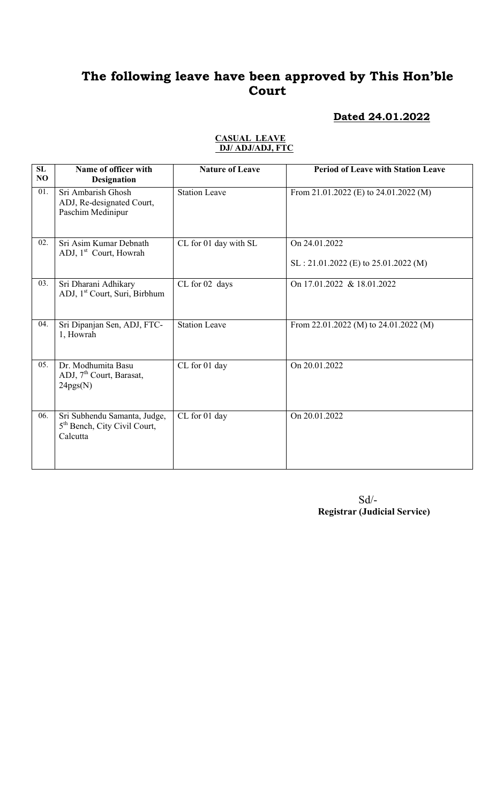### Dated 24.01.2022

| $\overline{\text{SL}}$<br>NO | Name of officer with<br><b>Designation</b>                                           | <b>Nature of Leave</b> | <b>Period of Leave with Station Leave</b>               |
|------------------------------|--------------------------------------------------------------------------------------|------------------------|---------------------------------------------------------|
| 01.                          | Sri Ambarish Ghosh<br>ADJ, Re-designated Court,<br>Paschim Medinipur                 | <b>Station Leave</b>   | From 21.01.2022 (E) to 24.01.2022 (M)                   |
| 02.                          | Sri Asim Kumar Debnath<br>ADJ, 1 <sup>st</sup> Court, Howrah                         | CL for 01 day with SL  | On 24.01.2022<br>$SL: 21.01.2022$ (E) to 25.01.2022 (M) |
| 03.                          | Sri Dharani Adhikary<br>ADJ, 1 <sup>st</sup> Court, Suri, Birbhum                    | CL for 02 days         | On 17.01.2022 & 18.01.2022                              |
| 04.                          | Sri Dipanjan Sen, ADJ, FTC-<br>1, Howrah                                             | <b>Station Leave</b>   | From 22.01.2022 (M) to 24.01.2022 (M)                   |
| 05.                          | Dr. Modhumita Basu<br>ADJ, 7 <sup>th</sup> Court, Barasat,<br>24pgs(N)               | CL for 01 day          | On 20.01.2022                                           |
| 06.                          | Sri Subhendu Samanta, Judge,<br>5 <sup>th</sup> Bench, City Civil Court,<br>Calcutta | CL for 01 day          | On 20.01.2022                                           |

#### CASUAL LEAVE DJ/ ADJ/ADJ, FTC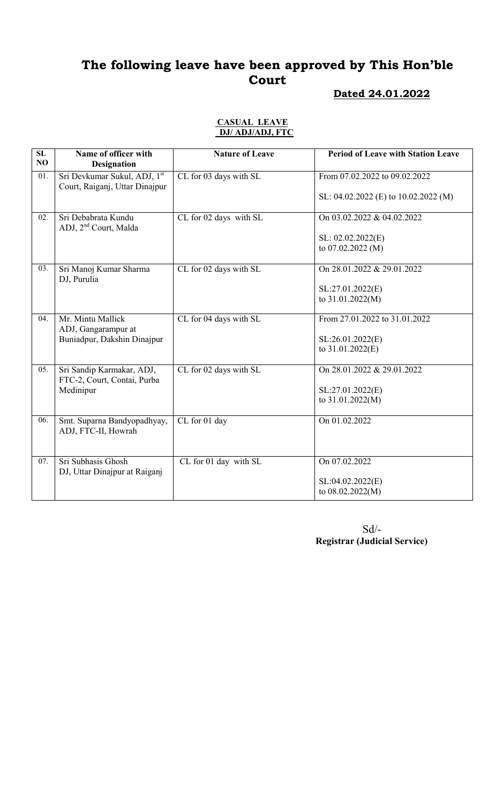#### Dated 24.01.2022

#### CASUAL LEAVE DJ/ ADJ/ADJ, FTC

| SL<br>NO | Name of officer with<br><b>Designation</b>                     | <b>Nature of Leave</b> | <b>Period of Leave with Station Leave</b> |
|----------|----------------------------------------------------------------|------------------------|-------------------------------------------|
| 01.      | Sri Devkumar Sukul, ADJ, 1st<br>Court, Raiganj, Uttar Dinajpur | CL for 03 days with SL | From 07.02.2022 to 09.02.2022             |
|          |                                                                |                        | SL: 04.02.2022 (E) to 10.02.2022 (M)      |
| 02.      | Sri Debabrata Kundu<br>ADJ, 2 <sup>nd</sup> Court, Malda       | CL for 02 days with SL | On 03.02.2022 & 04.02.2022                |
|          |                                                                |                        | SL: 02.02.2022(E)<br>to $07.02.2022$ (M)  |
| 03.      | Sri Manoj Kumar Sharma<br>DJ, Purulia                          | CL for 02 days with SL | On 28.01.2022 & 29.01.2022                |
|          |                                                                |                        | SL:27.01.2022(E)<br>to 31.01.2022(M)      |
|          |                                                                |                        |                                           |
| 04.      | Mr. Mintu Mallick<br>ADJ, Gangarampur at                       | CL for 04 days with SL | From 27.01.2022 to 31.01.2022             |
|          | Buniadpur, Dakshin Dinajpur                                    |                        | SL:26.01.2022(E)<br>to $31.01.2022(E)$    |
| 05.      | Sri Sandip Karmakar, ADJ,<br>FTC-2, Court, Contai, Purba       | CL for 02 days with SL | On 28.01.2022 & 29.01.2022                |
|          | Medinipur                                                      |                        | SL:27.01.2022(E)                          |
|          |                                                                |                        | to 31.01.2022(M)                          |
| 06.      | Smt. Suparna Bandyopadhyay,<br>ADJ, FTC-II, Howrah             | CL for 01 day          | On 01.02.2022                             |
| 07.      | Sri Subhasis Ghosh                                             | CL for 01 day with SL  | On 07.02.2022                             |
|          | DJ, Uttar Dinajpur at Raiganj                                  |                        | SL:04.02.2022(E)<br>to 08.02.2022(M)      |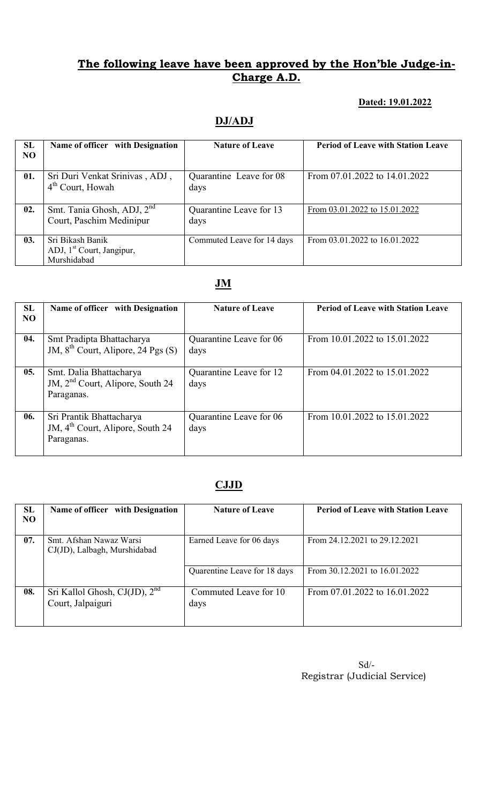### Dated: 19.01.2022

### DJ/ADJ

| SL<br><b>NO</b> | Name of officer with Designation                                         | <b>Nature of Leave</b>          | <b>Period of Leave with Station Leave</b> |
|-----------------|--------------------------------------------------------------------------|---------------------------------|-------------------------------------------|
| 01.             | Sri Duri Venkat Srinivas, ADJ,<br>$4th$ Court, Howah                     | Quarantine Leave for 08<br>days | From 07.01.2022 to 14.01.2022             |
| 02.             | Smt. Tania Ghosh, ADJ, 2 <sup>nd</sup><br>Court, Paschim Medinipur       | Quarantine Leave for 13<br>days | From 03.01.2022 to 15.01.2022             |
| 03.             | Sri Bikash Banik<br>ADJ, 1 <sup>st</sup> Court, Jangipur,<br>Murshidabad | Commuted Leave for 14 days      | From $03.01.2022$ to $16.01.2022$         |

## JM

| SL<br>N <sub>O</sub> | Name of officer with Designation                                                       | <b>Nature of Leave</b>          | <b>Period of Leave with Station Leave</b> |
|----------------------|----------------------------------------------------------------------------------------|---------------------------------|-------------------------------------------|
| 04.                  | Smt Pradipta Bhattacharya<br>JM, 8 <sup>th</sup> Court, Alipore, 24 Pgs (S)            | Quarantine Leave for 06<br>days | From 10.01.2022 to 15.01.2022             |
| 05.                  | Smt. Dalia Bhattacharya<br>JM, 2 <sup>nd</sup> Court, Alipore, South 24<br>Paraganas.  | Quarantine Leave for 12<br>days | From 04.01.2022 to 15.01.2022             |
| 06.                  | Sri Prantik Bhattacharya<br>JM, 4 <sup>th</sup> Court, Alipore, South 24<br>Paraganas. | Quarantine Leave for 06<br>days | From 10.01.2022 to 15.01.2022             |

## CJJD

| <b>SL</b><br><b>NO</b> | Name of officer with Designation                        | <b>Nature of Leave</b>        | <b>Period of Leave with Station Leave</b> |
|------------------------|---------------------------------------------------------|-------------------------------|-------------------------------------------|
| 07.                    | Smt. Afshan Nawaz Warsi<br>CJ(JD), Lalbagh, Murshidabad | Earned Leave for 06 days      | From 24.12.2021 to 29.12.2021             |
|                        |                                                         | Quarentine Leave for 18 days  | From 30.12.2021 to 16.01.2022             |
| 08.                    | Sri Kallol Ghosh, CJ(JD), $2nd$<br>Court, Jalpaiguri    | Commuted Leave for 10<br>days | From 07.01.2022 to 16.01.2022             |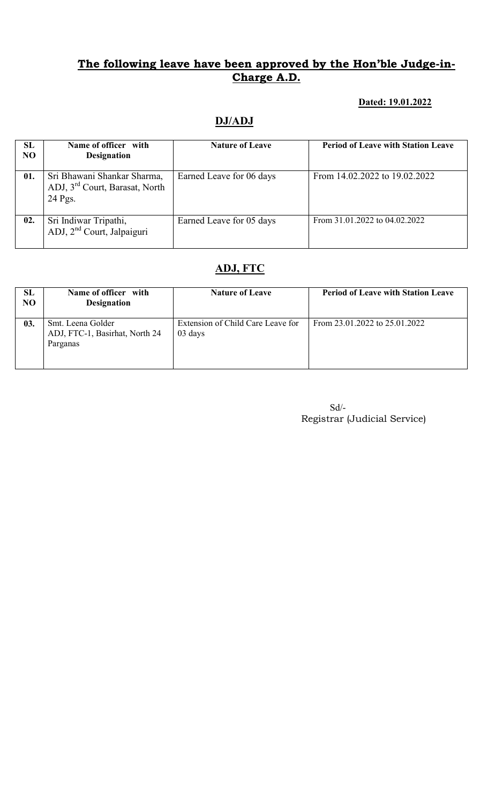### Dated: 19.01.2022

### DJ/ADJ

| SL<br>N <sub>O</sub> | Name of officer with<br><b>Designation</b>                                           | <b>Nature of Leave</b>   | <b>Period of Leave with Station Leave</b> |
|----------------------|--------------------------------------------------------------------------------------|--------------------------|-------------------------------------------|
| 01.                  | Sri Bhawani Shankar Sharma,<br>ADJ, 3 <sup>rd</sup> Court, Barasat, North<br>24 Pgs. | Earned Leave for 06 days | From 14.02.2022 to 19.02.2022             |
| 02.                  | Sri Indiwar Tripathi,<br>ADJ, 2 <sup>nd</sup> Court, Jalpaiguri                      | Earned Leave for 05 days | From 31.01.2022 to 04.02.2022             |

### ADJ, FTC

| SL<br>NO | Name of officer with<br><b>Designation</b>                      | <b>Nature of Leave</b>                       | <b>Period of Leave with Station Leave</b> |
|----------|-----------------------------------------------------------------|----------------------------------------------|-------------------------------------------|
| 03.      | Smt. Leena Golder<br>ADJ, FTC-1, Basirhat, North 24<br>Parganas | Extension of Child Care Leave for<br>03 days | From 23.01.2022 to 25.01.2022             |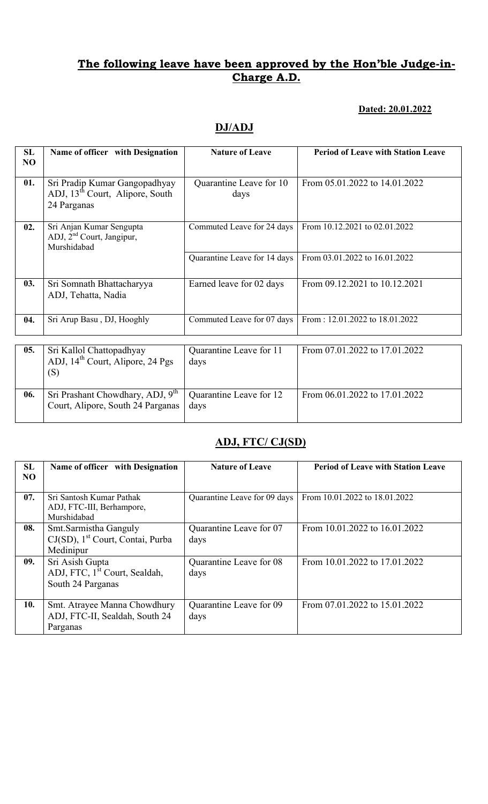#### Dated: 20.01.2022

### DJ/ADJ

| SL<br>NO | Name of officer with Designation                                                            | <b>Nature of Leave</b>          | <b>Period of Leave with Station Leave</b> |
|----------|---------------------------------------------------------------------------------------------|---------------------------------|-------------------------------------------|
| 01.      | Sri Pradip Kumar Gangopadhyay<br>ADJ, 13 <sup>th</sup> Court, Alipore, South<br>24 Parganas | Quarantine Leave for 10<br>days | From 05.01.2022 to 14.01.2022             |
| 02.      | Sri Anjan Kumar Sengupta<br>ADJ, 2 <sup>nd</sup> Court, Jangipur,<br>Murshidabad            | Commuted Leave for 24 days      | From 10.12.2021 to 02.01.2022             |
|          |                                                                                             | Quarantine Leave for 14 days    | From 03.01.2022 to 16.01.2022             |
| 03.      | Sri Somnath Bhattacharyya<br>ADJ, Tehatta, Nadia                                            | Earned leave for 02 days        | From 09.12.2021 to 10.12.2021             |
| 04.      | Sri Arup Basu, DJ, Hooghly                                                                  | Commuted Leave for 07 days      | From: 12.01.2022 to 18.01.2022            |
| 05.      | Sri Kallol Chattopadhyay<br>ADJ, 14 <sup>th</sup> Court, Alipore, 24 Pgs<br>(S)             | Quarantine Leave for 11<br>days | From 07.01.2022 to 17.01.2022             |
| 06.      | Sri Prashant Chowdhary, ADJ, 9 <sup>th</sup><br>Court, Alipore, South 24 Parganas           | Quarantine Leave for 12<br>days | From 06.01.2022 to 17.01.2022             |

# ADJ, FTC/ CJ(SD)

| SL<br>N <sub>O</sub> | Name of officer with Designation                                                    | <b>Nature of Leave</b>          | <b>Period of Leave with Station Leave</b> |
|----------------------|-------------------------------------------------------------------------------------|---------------------------------|-------------------------------------------|
| 07.                  | Sri Santosh Kumar Pathak<br>ADJ, FTC-III, Berhampore,<br>Murshidabad                | Quarantine Leave for 09 days    | From 10.01.2022 to 18.01.2022             |
| 08.                  | Smt. Sarmistha Ganguly<br>CJ(SD), 1 <sup>st</sup> Court, Contai, Purba<br>Medinipur | Quarantine Leave for 07<br>days | From 10.01.2022 to 16.01.2022             |
| 09.                  | Sri Asish Gupta<br>ADJ, FTC, 1 <sup>st</sup> Court, Sealdah,<br>South 24 Parganas   | Quarantine Leave for 08<br>days | From 10.01.2022 to 17.01.2022             |
| 10.                  | Smt. Atrayee Manna Chowdhury<br>ADJ, FTC-II, Sealdah, South 24<br>Parganas          | Quarantine Leave for 09<br>days | From 07.01.2022 to 15.01.2022             |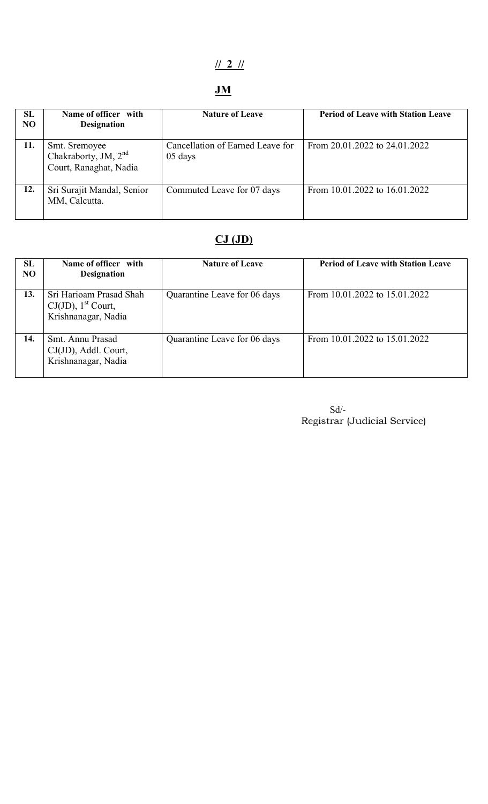# // 2 //

# JM

| SL<br><b>NO</b> | Name of officer with<br><b>Designation</b>                                  | <b>Nature of Leave</b>                      | <b>Period of Leave with Station Leave</b> |
|-----------------|-----------------------------------------------------------------------------|---------------------------------------------|-------------------------------------------|
| 11.             | Smt. Sremoyee<br>Chakraborty, JM, 2 <sup>nd</sup><br>Court, Ranaghat, Nadia | Cancellation of Earned Leave for<br>05 days | From 20.01.2022 to 24.01.2022             |
| 12.             | Sri Surajit Mandal, Senior<br>MM, Calcutta.                                 | Commuted Leave for 07 days                  | From 10.01.2022 to 16.01.2022             |

# $CJ(JD)$

| SL<br>NO | Name of officer with<br><b>Designation</b>                                          | <b>Nature of Leave</b>       | <b>Period of Leave with Station Leave</b> |
|----------|-------------------------------------------------------------------------------------|------------------------------|-------------------------------------------|
| 13.      | Sri Harioam Prasad Shah<br>$CJ(JD)$ , 1 <sup>st</sup> Court,<br>Krishnanagar, Nadia | Quarantine Leave for 06 days | From 10.01.2022 to 15.01.2022             |
| 14.      | Smt. Annu Prasad<br>CJ(JD), Addl. Court,<br>Krishnanagar, Nadia                     | Quarantine Leave for 06 days | From 10.01.2022 to 15.01.2022             |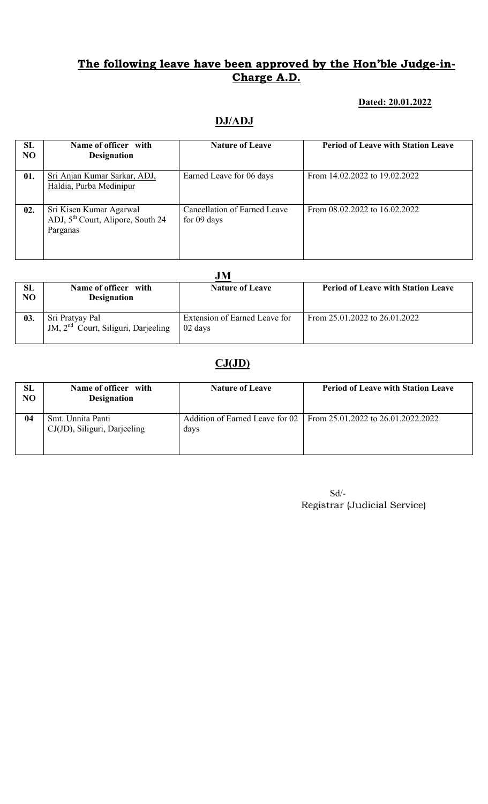#### Dated: 20.01.2022

### DJ/ADJ

| SL<br>N <sub>O</sub> | Name of officer with<br><b>Designation</b>                                           | <b>Nature of Leave</b>                      | <b>Period of Leave with Station Leave</b> |
|----------------------|--------------------------------------------------------------------------------------|---------------------------------------------|-------------------------------------------|
| 01.                  | Sri Anjan Kumar Sarkar, ADJ,<br>Haldia, Purba Medinipur                              | Earned Leave for 06 days                    | From 14.02.2022 to 19.02.2022             |
| 02.                  | Sri Kisen Kumar Agarwal<br>ADJ, 5 <sup>th</sup> Court, Alipore, South 24<br>Parganas | Cancellation of Earned Leave<br>for 09 days | From $08.02.2022$ to $16.02.2022$         |

|          | JM                                                                 |                                          |                                           |  |  |
|----------|--------------------------------------------------------------------|------------------------------------------|-------------------------------------------|--|--|
| SL<br>NO | Name of officer with<br><b>Designation</b>                         | <b>Nature of Leave</b>                   | <b>Period of Leave with Station Leave</b> |  |  |
| 03.      | Sri Pratyay Pal<br>JM, 2 <sup>nd</sup> Court, Siliguri, Darjeeling | Extension of Earned Leave for<br>02 days | From $25.01.2022$ to $26.01.2022$         |  |  |

# $CJ(JD)$

| SL<br>NO | Name of officer with<br><b>Designation</b>        | <b>Nature of Leave</b> | <b>Period of Leave with Station Leave</b>                          |
|----------|---------------------------------------------------|------------------------|--------------------------------------------------------------------|
| 04       | Smt. Unnita Panti<br>CJ(JD), Siliguri, Darjeeling | days                   | Addition of Earned Leave for 02 From 25.01.2022 to 26.01.2022.2022 |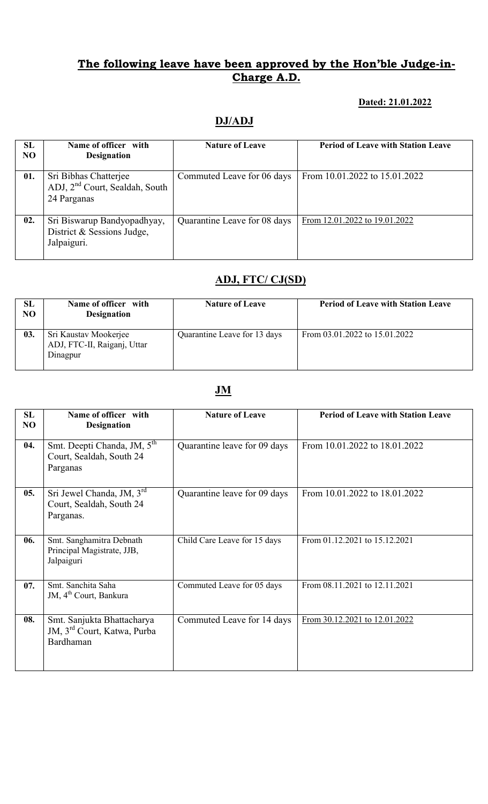#### Dated: 21.01.2022

### DJ/ADJ

| SL<br>N <sub>O</sub> | Name of officer with<br><b>Designation</b>                                         | <b>Nature of Leave</b>       | <b>Period of Leave with Station Leave</b> |
|----------------------|------------------------------------------------------------------------------------|------------------------------|-------------------------------------------|
| 01.                  | Sri Bibhas Chatterjee<br>ADJ, 2 <sup>nd</sup> Court, Sealdah, South<br>24 Parganas | Commuted Leave for 06 days   | From 10.01.2022 to 15.01.2022             |
| 02.                  | Sri Biswarup Bandyopadhyay,<br>District & Sessions Judge,<br>Jalpaiguri.           | Quarantine Leave for 08 days | From 12.01.2022 to 19.01.2022             |

## ADJ, FTC/ CJ(SD)

| <b>SL</b><br>N <sub>O</sub> | Name of officer with<br><b>Designation</b>                       | <b>Nature of Leave</b>       | <b>Period of Leave with Station Leave</b> |
|-----------------------------|------------------------------------------------------------------|------------------------------|-------------------------------------------|
| 03.                         | Sri Kaustav Mookerjee<br>ADJ, FTC-II, Raiganj, Uttar<br>Dinagpur | Quarantine Leave for 13 days | From $03.01.2022$ to $15.01.2022$         |

### JM

| SL<br>NO | Name of officer with<br><b>Designation</b>                                         | <b>Nature of Leave</b>       | <b>Period of Leave with Station Leave</b> |
|----------|------------------------------------------------------------------------------------|------------------------------|-------------------------------------------|
| 04.      | Smt. Deepti Chanda, JM, 5 <sup>th</sup><br>Court, Sealdah, South 24<br>Parganas    | Quarantine leave for 09 days | From 10.01.2022 to 18.01.2022             |
| 05.      | Sri Jewel Chanda, JM, 3rd<br>Court, Sealdah, South 24<br>Parganas.                 | Quarantine leave for 09 days | From 10.01.2022 to 18.01.2022             |
| 06.      | Smt. Sanghamitra Debnath<br>Principal Magistrate, JJB,<br>Jalpaiguri               | Child Care Leave for 15 days | From 01.12.2021 to 15.12.2021             |
| 07.      | Smt. Sanchita Saha<br>JM, 4 <sup>th</sup> Court, Bankura                           | Commuted Leave for 05 days   | From 08.11.2021 to 12.11.2021             |
| 08.      | Smt. Sanjukta Bhattacharya<br>JM, 3 <sup>rd</sup> Court, Katwa, Purba<br>Bardhaman | Commuted Leave for 14 days   | From 30.12.2021 to 12.01.2022             |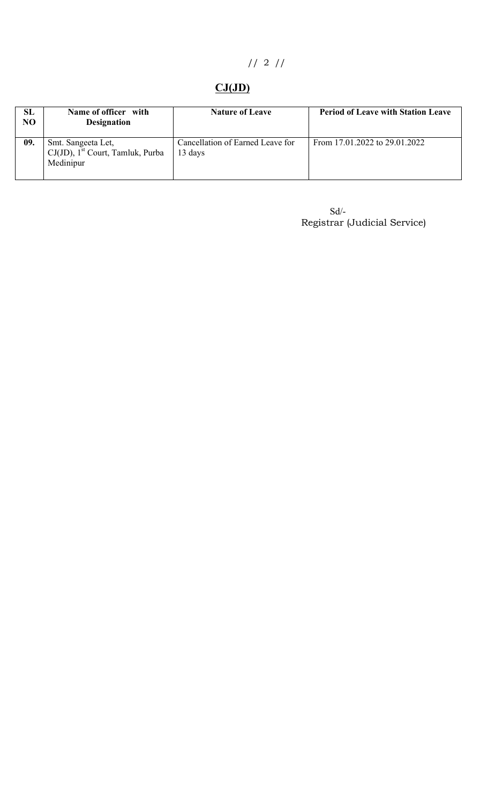// 2 //

# $CJ(JD)$

| SL<br>N <sub>O</sub> | Name of officer with<br><b>Designation</b>                                         | <b>Nature of Leave</b>                      | <b>Period of Leave with Station Leave</b> |
|----------------------|------------------------------------------------------------------------------------|---------------------------------------------|-------------------------------------------|
| 09.                  | Smt. Sangeeta Let,<br>$CJ(JD)$ , 1 <sup>st</sup> Court, Tamluk, Purba<br>Medinipur | Cancellation of Earned Leave for<br>13 days | From 17.01.2022 to 29.01.2022             |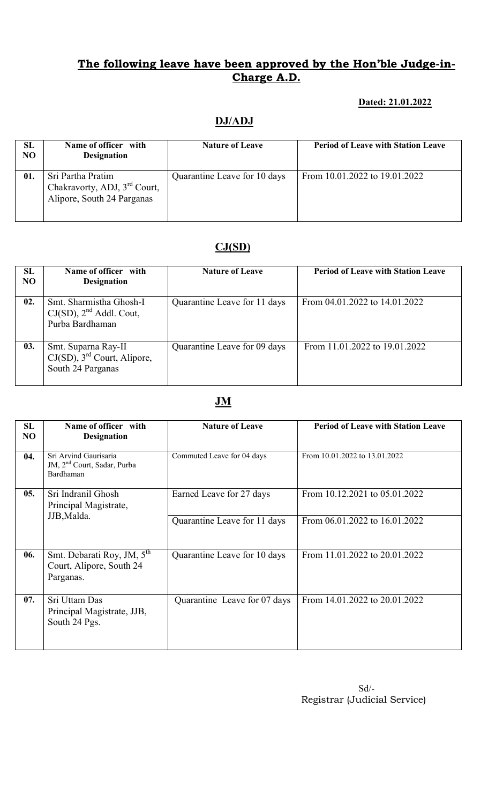### Dated: 21.01.2022

### DJ/ADJ

| SL<br><b>NO</b> | Name of officer with<br><b>Designation</b>                                                  | <b>Nature of Leave</b>       | <b>Period of Leave with Station Leave</b> |
|-----------------|---------------------------------------------------------------------------------------------|------------------------------|-------------------------------------------|
| 01.             | Sri Partha Pratim<br>Chakravorty, ADJ, 3 <sup>rd</sup> Court,<br>Alipore, South 24 Parganas | Quarantine Leave for 10 days | From 10.01.2022 to 19.01.2022             |

# CJ(SD)

| <b>SL</b><br>N <sub>O</sub> | Name of officer with<br><b>Designation</b>                                             | <b>Nature of Leave</b>       | <b>Period of Leave with Station Leave</b> |
|-----------------------------|----------------------------------------------------------------------------------------|------------------------------|-------------------------------------------|
| 02.                         | Smt. Sharmistha Ghosh-I<br>$CJ(SD)$ , $2nd$ Addl. Cout,<br>Purba Bardhaman             | Quarantine Leave for 11 days | From 04.01.2022 to 14.01.2022             |
| 03.                         | Smt. Suparna Ray-II<br>$CJ(SD)$ , 3 <sup>rd</sup> Court, Alipore,<br>South 24 Parganas | Quarantine Leave for 09 days | From 11.01.2022 to 19.01.2022             |

# JM

| <b>SL</b> | Name of officer with                                                            | <b>Nature of Leave</b>       | <b>Period of Leave with Station Leave</b> |
|-----------|---------------------------------------------------------------------------------|------------------------------|-------------------------------------------|
| NO        | <b>Designation</b>                                                              |                              |                                           |
| 04.       | Sri Arvind Gaurisaria<br>JM, 2 <sup>nd</sup> Court, Sadar, Purba<br>Bardhaman   | Commuted Leave for 04 days   | From 10.01.2022 to 13.01.2022             |
| 05.       | Sri Indranil Ghosh<br>Principal Magistrate,                                     | Earned Leave for 27 days     | From 10.12.2021 to 05.01.2022             |
|           | JJB, Malda.                                                                     | Quarantine Leave for 11 days | From 06.01.2022 to 16.01.2022             |
| 06.       | Smt. Debarati Roy, JM, 5 <sup>th</sup><br>Court, Alipore, South 24<br>Parganas. | Quarantine Leave for 10 days | From 11.01.2022 to 20.01.2022             |
| 07.       | Sri Uttam Das<br>Principal Magistrate, JJB,<br>South 24 Pgs.                    | Quarantine Leave for 07 days | From 14.01.2022 to 20.01.2022             |